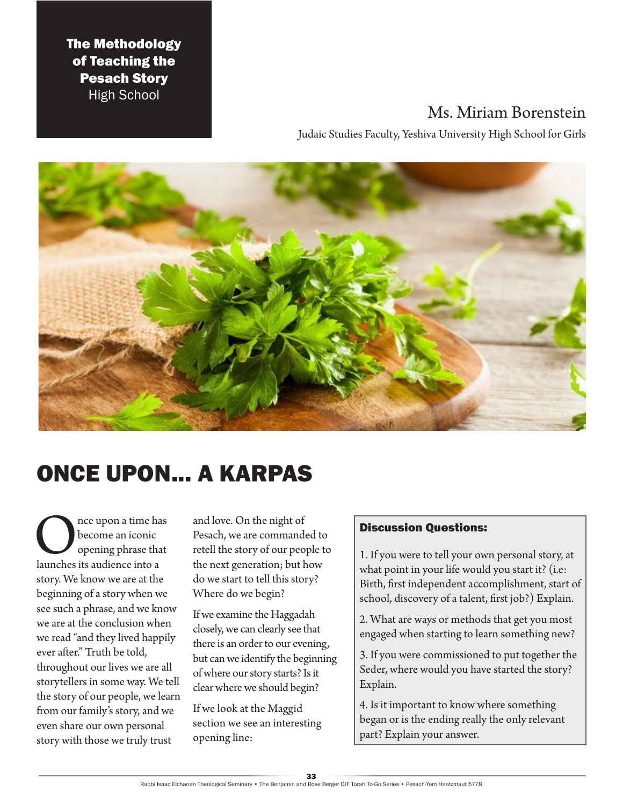### The Methodology of Teaching the Pesach Story High School

## Ms. Miriam Borenstein

Judaic Studies Faculty, Yeshiva University High School for Girls



# ONCE UPON... A KARPAS

Once upon a time has<br>
become an iconic<br>
launches its audience into a become an iconic opening phrase that story. We know we are at the beginning of a story when we see such a phrase, and we know we are at the conclusion when we read "and they lived happily ever after." Truth be told, throughout our lives we are all storytellers in some way. We tell the story of our people, we learn from our family's story, and we even share our own personal story with those we truly trust

and love. On the night of Pesach, we are commanded to retell the story of our people to the next generation; but how do we start to tell this story? Where do we begin?

If we examine the Haggadah closely, we can clearly see that there is an order to our evening, but can we identify the beginning of where our story starts? Is it clear where we should begin?

If we look at the Maggid section we see an interesting opening line:

### Discussion Questions:

1. If you were to tell your own personal story, at what point in your life would you start it? (i.e: Birth, first independent accomplishment, start of school, discovery of a talent, first job?) Explain.

2. What are ways or methods that get you most engaged when starting to learn something new?

3. If you were commissioned to put together the Seder, where would you have started the story? Explain.

4. Is it important to know where something began or is the ending really the only relevant part? Explain your answer.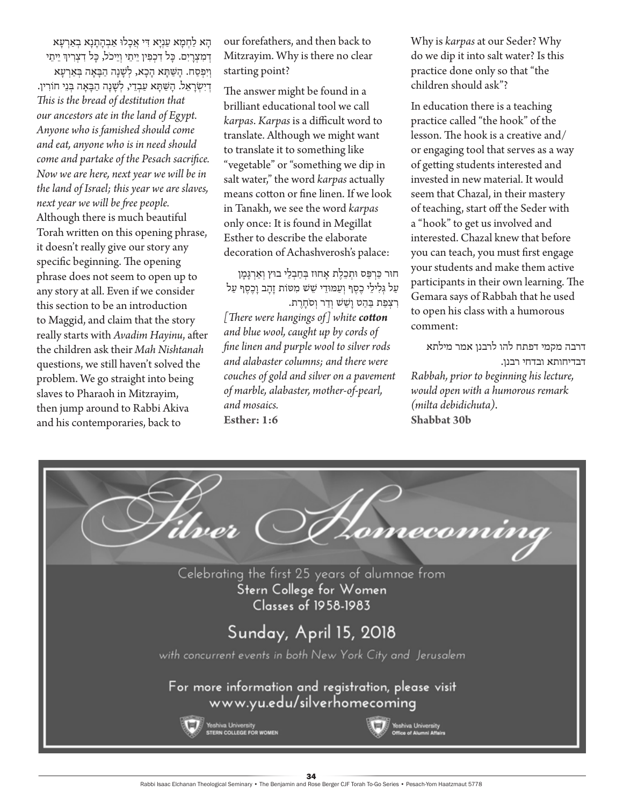הָא לַחְמָא עַנְיָא דִי אֲכָלוּ אַבְהָתָנָא בְאַרְעָא דְמִצְרַיִם. כַּל דִכְפִין יֵיתֵי וְיֵיכֹל, כַּל דִצְרִיךְ יֵיתֵי וְיִפְסַח. הַשַּׁתַּא הַכָא, לְשַׁנַה הַבַּאַה בְּאַרְעַא דְ יִ שְ רָ אֵ ל. הָ שַ תָ א עַ בְ דֵ י, לְ שָ נָה הַ בָ אָ ה בְ נֵי חֹורִ ין. *This is the bread of destitution that our ancestors ate in the land of Egypt. Anyone who is famished should come and eat, anyone who is in need should come and partake of the Pesach sacrifice. Now we are here, next year we will be in the land of Israel; this year we are slaves, next year we will be free people.* Although there is much beautiful Torah written on this opening phrase, it doesn't really give our story any specific beginning. The opening phrase does not seem to open up to any story at all. Even if we consider this section to be an introduction to Maggid, and claim that the story really starts with *Avadim Hayinu*, after the children ask their *Mah Nishtanah* questions, we still haven't solved the problem. We go straight into being slaves to Pharaoh in Mitzrayim, then jump around to Rabbi Akiva and his contemporaries, back to

our forefathers, and then back to Mitzrayim. Why is there no clear starting point?

The answer might be found in a brilliant educational tool we call *karpas*. *Karpas* is a difficult word to translate. Although we might want to translate it to something like "vegetable" or "something we dip in salt water," the word *karpas* actually means cotton or fine linen. If we look in Tanakh, we see the word *karpas* only once: It is found in Megillat Esther to describe the elaborate decoration of Achashverosh's palace:

חוּר כַּרְפַּס וּתִכֲלֶת אָחוּז בְּחַבְלֵי בוּץ וְאַרְגָּמָן עַל גִּלְילֵי כֶסֶף וְעַמּוּדֵי שֵׁשׁ מִטּוֹת זַהֲב וַכֶּסֶף עַל רִצְפַת בַּהַט וַשֵּׁשׁ וְדַר וְסֹחֲרֵת. *[There were hangings of] white cotton and blue wool, caught up by cords of fine linen and purple wool to silver rods and alabaster columns; and there were couches of gold and silver on a pavement of marble, alabaster, mother-of-pearl, and mosaics.* **Esther: 1:6**

Why is *karpas* at our Seder? Why do we dip it into salt water? Is this practice done only so that "the children should ask"?

In education there is a teaching practice called "the hook" of the lesson. The hook is a creative and/ or engaging tool that serves as a way of getting students interested and invested in new material. It would seem that Chazal, in their mastery of teaching, start off the Seder with a "hook" to get us involved and interested. Chazal knew that before you can teach, you must first engage your students and make them active participants in their own learning. The Gemara says of Rabbah that he used to open his class with a humorous comment:

דרבה מקמי דפתח להו לרבנן אמר מילתא דבדיחותא ובדחי רבנן. *Rabbah, prior to beginning his lecture, would open with a humorous remark (milta debidichuta).* **Shabbat 30b**